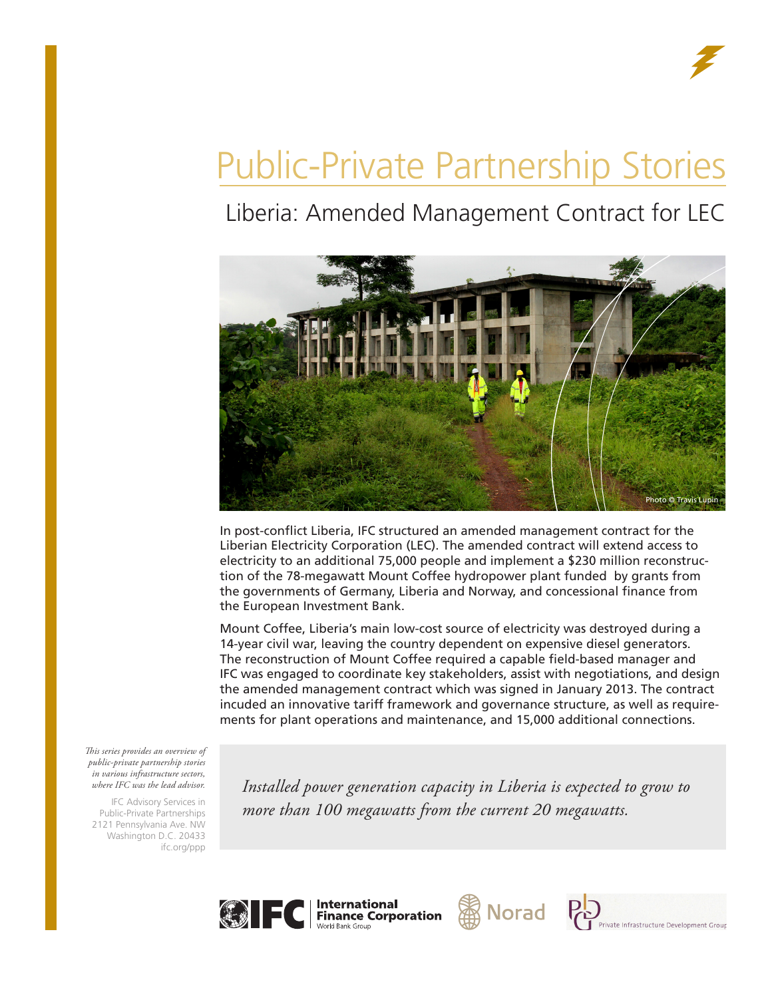

# Public-Private Partnership Stories

## Liberia: Amended Management Contract for LEC



In post-conflict Liberia, IFC structured an amended management contract for the Liberian Electricity Corporation (LEC). The amended contract will extend access to electricity to an additional 75,000 people and implement a \$230 million reconstruction of the 78-megawatt Mount Coffee hydropower plant funded by grants from the governments of Germany, Liberia and Norway, and concessional finance from the European Investment Bank.

Mount Coffee, Liberia's main low-cost source of electricity was destroyed during a 14-year civil war, leaving the country dependent on expensive diesel generators. The reconstruction of Mount Coffee required a capable field-based manager and IFC was engaged to coordinate key stakeholders, assist with negotiations, and design the amended management contract which was signed in January 2013. The contract incuded an innovative tariff framework and governance structure, as well as requirements for plant operations and maintenance, and 15,000 additional connections.

*This series provides an overview of public-private partnership stories in various infrastructure sectors, where IFC was the lead advisor.* 

IFC Advisory Services in Public-Private Partnerships 2121 Pennsylvania Ave. NW Washington D.C. 20433 ifc.org/ppp

*Installed power generation capacity in Liberia is expected to grow to more than 100 megawatts from the current 20 megawatts.*







Private Infrastructure Development Group